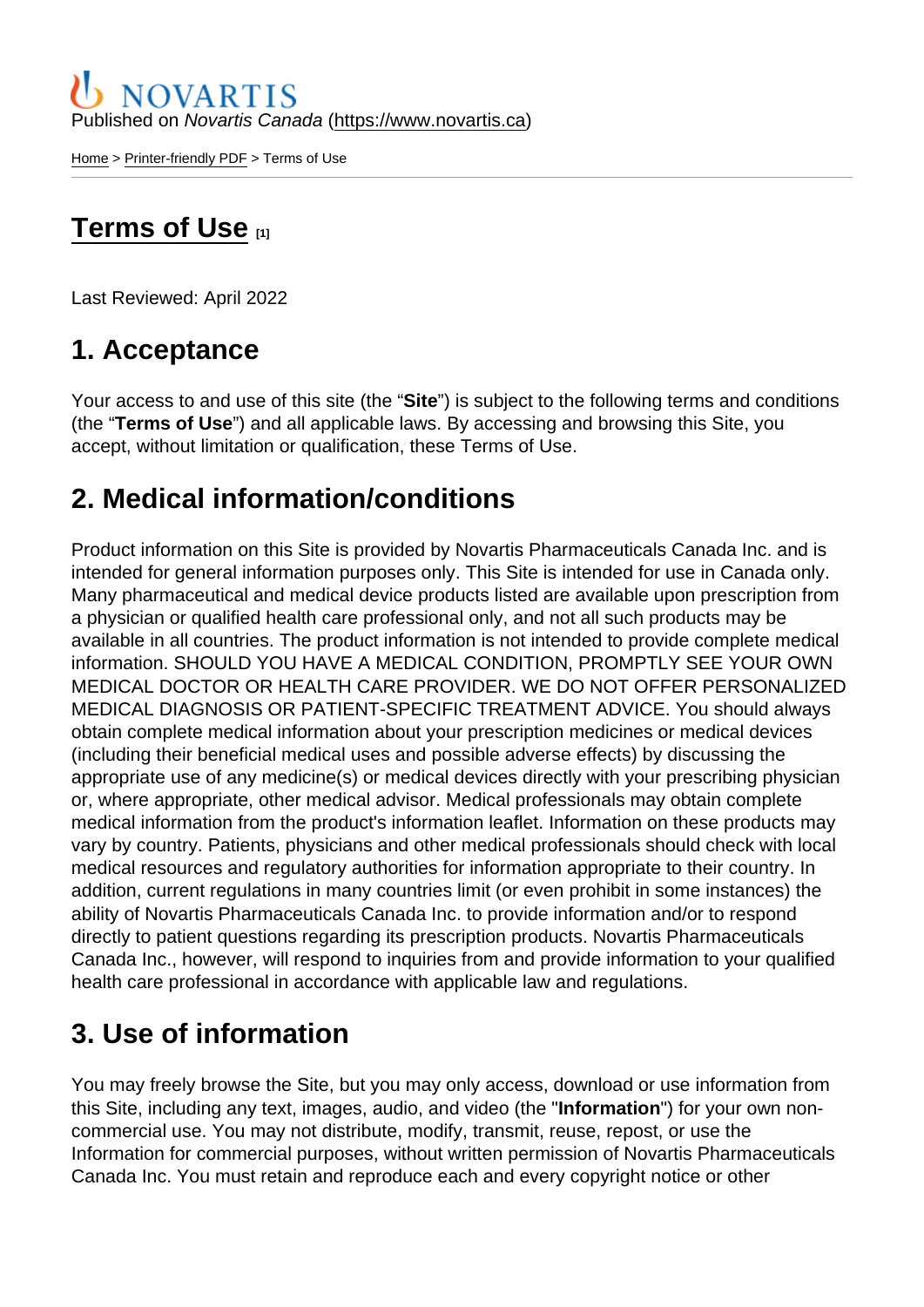Published on Novartis Canada [\(https://www.novartis.ca\)](https://www.novartis.ca)

[Home](https://www.novartis.ca/en) > [Printer-friendly PDF](https://www.novartis.ca/en/printpdf) > Terms of Use

# [Terms of Use](https://www.novartis.ca/en/terms-of-use) [1]

Last Reviewed: April 2022

#### 1. Acceptance

Your access to and use of this site (the "Site") is subject to the following terms and conditions (the "Terms of Use ") and all applicable laws. By accessing and browsing this Site, you accept, without limitation or qualification, these Terms of Use.

#### 2. Medical information/conditions

Product information on this Site is provided by Novartis Pharmaceuticals Canada Inc. and is intended for general information purposes only. This Site is intended for use in Canada only. Many pharmaceutical and medical device products listed are available upon prescription from a physician or qualified health care professional only, and not all such products may be available in all countries. The product information is not intended to provide complete medical information. SHOULD YOU HAVE A MEDICAL CONDITION, PROMPTLY SEE YOUR OWN MEDICAL DOCTOR OR HEALTH CARE PROVIDER. WE DO NOT OFFER PERSONALIZED MEDICAL DIAGNOSIS OR PATIENT-SPECIFIC TREATMENT ADVICE. You should always obtain complete medical information about your prescription medicines or medical devices (including their beneficial medical uses and possible adverse effects) by discussing the appropriate use of any medicine(s) or medical devices directly with your prescribing physician or, where appropriate, other medical advisor. Medical professionals may obtain complete medical information from the product's information leaflet. Information on these products may vary by country. Patients, physicians and other medical professionals should check with local medical resources and regulatory authorities for information appropriate to their country. In addition, current regulations in many countries limit (or even prohibit in some instances) the ability of Novartis Pharmaceuticals Canada Inc. to provide information and/or to respond directly to patient questions regarding its prescription products. Novartis Pharmaceuticals Canada Inc., however, will respond to inquiries from and provide information to your qualified health care professional in accordance with applicable law and regulations.

#### 3. Use of information

You may freely browse the Site, but you may only access, download or use information from this Site, including any text, images, audio, and video (the "Information ") for your own noncommercial use. You may not distribute, modify, transmit, reuse, repost, or use the Information for commercial purposes, without written permission of Novartis Pharmaceuticals Canada Inc. You must retain and reproduce each and every copyright notice or other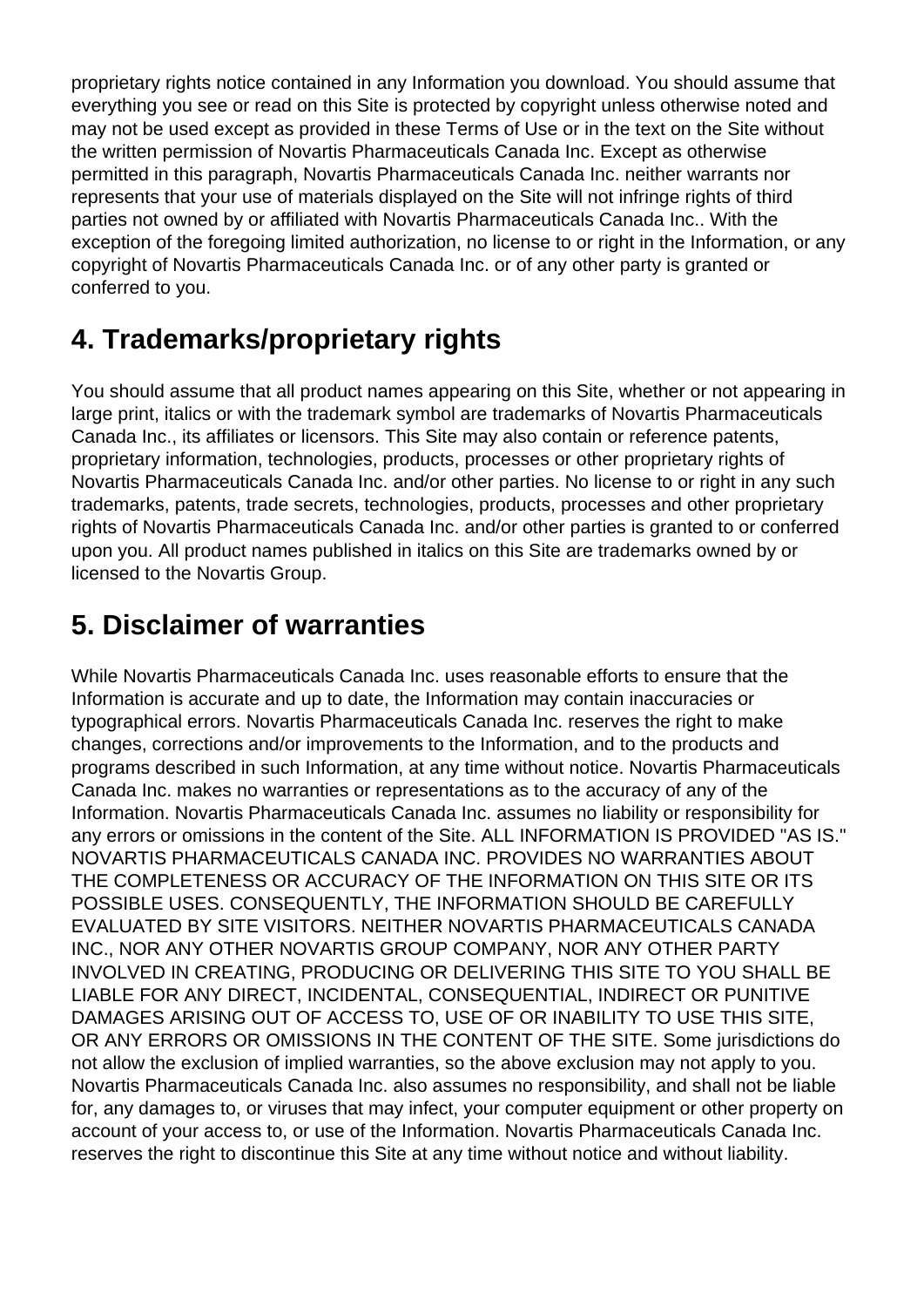proprietary rights notice contained in any Information you download. You should assume that everything you see or read on this Site is protected by copyright unless otherwise noted and may not be used except as provided in these Terms of Use or in the text on the Site without the written permission of Novartis Pharmaceuticals Canada Inc. Except as otherwise permitted in this paragraph, Novartis Pharmaceuticals Canada Inc. neither warrants nor represents that your use of materials displayed on the Site will not infringe rights of third parties not owned by or affiliated with Novartis Pharmaceuticals Canada Inc.. With the exception of the foregoing limited authorization, no license to or right in the Information, or any copyright of Novartis Pharmaceuticals Canada Inc. or of any other party is granted or conferred to you.

#### **4. Trademarks/proprietary rights**

You should assume that all product names appearing on this Site, whether or not appearing in large print, italics or with the trademark symbol are trademarks of Novartis Pharmaceuticals Canada Inc., its affiliates or licensors. This Site may also contain or reference patents, proprietary information, technologies, products, processes or other proprietary rights of Novartis Pharmaceuticals Canada Inc. and/or other parties. No license to or right in any such trademarks, patents, trade secrets, technologies, products, processes and other proprietary rights of Novartis Pharmaceuticals Canada Inc. and/or other parties is granted to or conferred upon you. All product names published in italics on this Site are trademarks owned by or licensed to the Novartis Group.

# **5. Disclaimer of warranties**

While Novartis Pharmaceuticals Canada Inc. uses reasonable efforts to ensure that the Information is accurate and up to date, the Information may contain inaccuracies or typographical errors. Novartis Pharmaceuticals Canada Inc. reserves the right to make changes, corrections and/or improvements to the Information, and to the products and programs described in such Information, at any time without notice. Novartis Pharmaceuticals Canada Inc. makes no warranties or representations as to the accuracy of any of the Information. Novartis Pharmaceuticals Canada Inc. assumes no liability or responsibility for any errors or omissions in the content of the Site. ALL INFORMATION IS PROVIDED "AS IS." NOVARTIS PHARMACEUTICALS CANADA INC. PROVIDES NO WARRANTIES ABOUT THE COMPLETENESS OR ACCURACY OF THE INFORMATION ON THIS SITE OR ITS POSSIBLE USES. CONSEQUENTLY, THE INFORMATION SHOULD BE CAREFULLY EVALUATED BY SITE VISITORS. NEITHER NOVARTIS PHARMACEUTICALS CANADA INC., NOR ANY OTHER NOVARTIS GROUP COMPANY, NOR ANY OTHER PARTY INVOLVED IN CREATING, PRODUCING OR DELIVERING THIS SITE TO YOU SHALL BE LIABLE FOR ANY DIRECT, INCIDENTAL, CONSEQUENTIAL, INDIRECT OR PUNITIVE DAMAGES ARISING OUT OF ACCESS TO, USE OF OR INABILITY TO USE THIS SITE, OR ANY ERRORS OR OMISSIONS IN THE CONTENT OF THE SITE. Some jurisdictions do not allow the exclusion of implied warranties, so the above exclusion may not apply to you. Novartis Pharmaceuticals Canada Inc. also assumes no responsibility, and shall not be liable for, any damages to, or viruses that may infect, your computer equipment or other property on account of your access to, or use of the Information. Novartis Pharmaceuticals Canada Inc. reserves the right to discontinue this Site at any time without notice and without liability.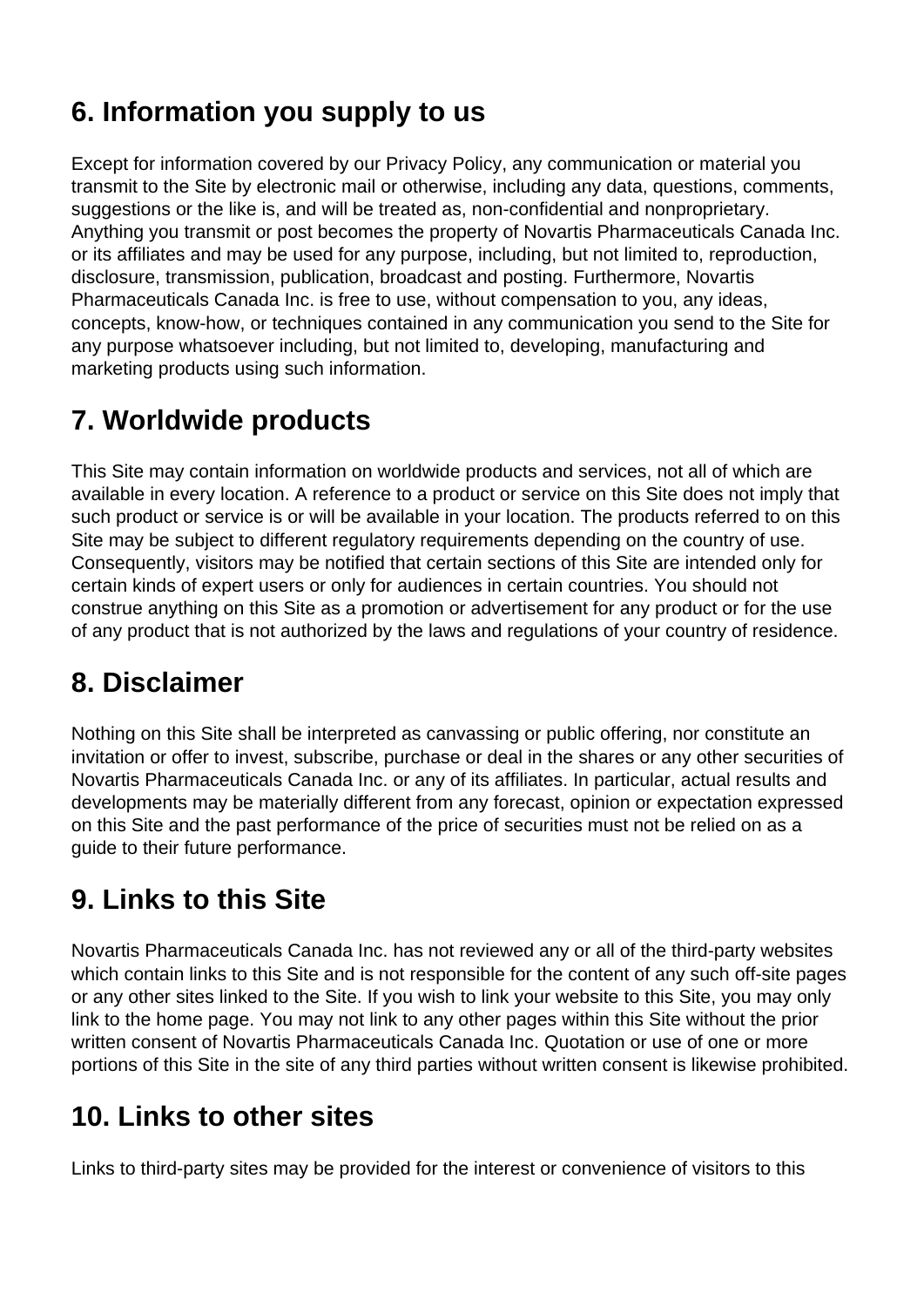# **6. Information you supply to us**

Except for information covered by our Privacy Policy, any communication or material you transmit to the Site by electronic mail or otherwise, including any data, questions, comments, suggestions or the like is, and will be treated as, non-confidential and nonproprietary. Anything you transmit or post becomes the property of Novartis Pharmaceuticals Canada Inc. or its affiliates and may be used for any purpose, including, but not limited to, reproduction, disclosure, transmission, publication, broadcast and posting. Furthermore, Novartis Pharmaceuticals Canada Inc. is free to use, without compensation to you, any ideas, concepts, know-how, or techniques contained in any communication you send to the Site for any purpose whatsoever including, but not limited to, developing, manufacturing and marketing products using such information.

# **7. Worldwide products**

This Site may contain information on worldwide products and services, not all of which are available in every location. A reference to a product or service on this Site does not imply that such product or service is or will be available in your location. The products referred to on this Site may be subject to different regulatory requirements depending on the country of use. Consequently, visitors may be notified that certain sections of this Site are intended only for certain kinds of expert users or only for audiences in certain countries. You should not construe anything on this Site as a promotion or advertisement for any product or for the use of any product that is not authorized by the laws and regulations of your country of residence.

# **8. Disclaimer**

Nothing on this Site shall be interpreted as canvassing or public offering, nor constitute an invitation or offer to invest, subscribe, purchase or deal in the shares or any other securities of Novartis Pharmaceuticals Canada Inc. or any of its affiliates. In particular, actual results and developments may be materially different from any forecast, opinion or expectation expressed on this Site and the past performance of the price of securities must not be relied on as a guide to their future performance.

# **9. Links to this Site**

Novartis Pharmaceuticals Canada Inc. has not reviewed any or all of the third-party websites which contain links to this Site and is not responsible for the content of any such off-site pages or any other sites linked to the Site. If you wish to link your website to this Site, you may only link to the home page. You may not link to any other pages within this Site without the prior written consent of Novartis Pharmaceuticals Canada Inc. Quotation or use of one or more portions of this Site in the site of any third parties without written consent is likewise prohibited.

# **10. Links to other sites**

Links to third-party sites may be provided for the interest or convenience of visitors to this